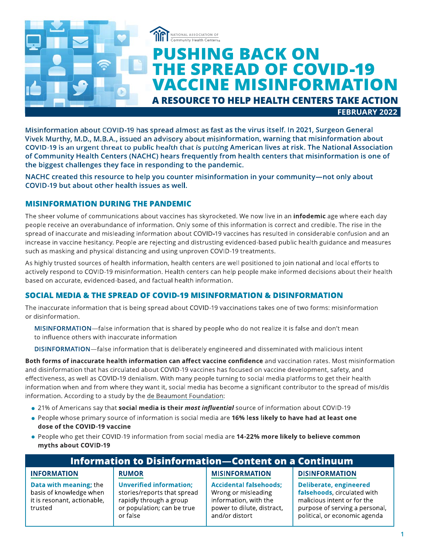

Misinformation about COVID-19 has spread almost as fast as the virus itself. In 2021, Surgeon General Vivek Murthy, M.D., M.B.A., issued an advisory about misinformation, warning that misinformation about COVID-19 is an urgent threat to public health that is putting American lives at risk. The National Association of Community Health Centers (NACHC) hears frequently from health centers that misinformation is one of the biggest challenges they face in responding to the pandemic.

NACHC created this resource to help you counter misinformation in your community-not only about COVID-19 but about other health issues as well.

# **MISINFORMATION DURING THE PANDEMIC**

The sheer volume of communications about vaccines has skyrocketed. We now live in an *infodemic* age where each day people receive an overabundance of information. Only some of this information is correct and credible. The rise in the spread of inaccurate and misleading information about COVID-19 vaccines has resulted in considerable confusion and an increase in vaccine hesitancy. People are rejecting and distrusting evidenced-based public health guidance and measures such as masking and physical distancing and using unproven COVID-19 treatments.

As highly trusted sources of health information, health centers are well positioned to join national and local efforts to actively respond to COVID-19 misinformation. Health centers can help people make informed decisions about their health based on accurate, evidenced-based, and factual health information.

# **SOCIAL MEDIA & THE SPREAD OF COVID-19 MISINFORMATION & DISINFORMATION**

The inaccurate information that is being spread about COVID-19 vaccinations takes one of two forms: misinformation or disinformation.

MISINFORMATION—false information that is shared by people who do not realize it is false and don't mean to influence others with inaccurate information

DISINFORMATION-false information that is deliberately engineered and disseminated with malicious intent

Both forms of inaccurate health information can affect vaccine confidence and vaccination rates. Most misinformation and disinformation that has circulated about COVID-19 vaccines has focused on vaccine development, safety, and effectiveness, as well as COVID-19 denialism. With many people turning to social media platforms to get their health information when and from where they want it, social media has become a significant contributor to the spread of mis/dis information. According to a study by the de Beaumont Foundation:

- 21% of Americans say that social media is their most influential source of information about COVID-19
- . People whose primary source of information is social media are 16% less likely to have had at least one dose of the COVID-19 vaccine
- People who get their COVID-19 information from social media are 14-22% more likely to believe common myths about COVID-19

| <b>Information to Disinformation–Content on a Continuum</b>                                 |                                                                                                                                    |                                                                                                                               |                                                                                                                                                                |
|---------------------------------------------------------------------------------------------|------------------------------------------------------------------------------------------------------------------------------------|-------------------------------------------------------------------------------------------------------------------------------|----------------------------------------------------------------------------------------------------------------------------------------------------------------|
| <b>INFORMATION</b>                                                                          | <b>RUMOR</b>                                                                                                                       | <b>MISINFORMATION</b>                                                                                                         | <b>DISINFORMATION</b>                                                                                                                                          |
| Data with meaning; the<br>basis of knowledge when<br>it is resonant, actionable,<br>trusted | <b>Unverified information:</b><br>stories/reports that spread<br>rapidly through a group<br>or population; can be true<br>or false | <b>Accidental falsehoods;</b><br>Wrong or misleading<br>information, with the<br>power to dilute, distract,<br>and/or distort | <b>Deliberate, engineered</b><br>falsehoods, circulated with<br>malicious intent or for the<br>purpose of serving a personal,<br>political, or economic agenda |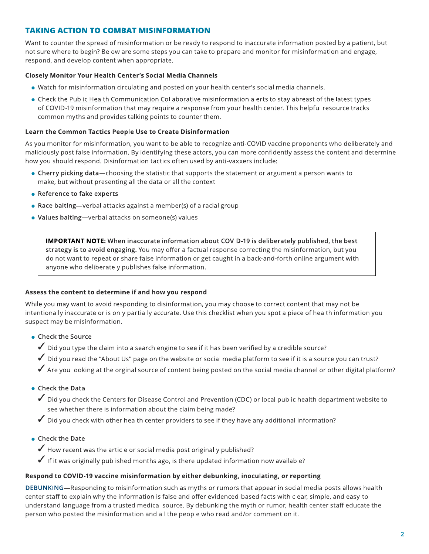# **TAKING ACTION TO COMBAT MISINFORMATION**

Want to counter the spread of misinformation or be ready to respond to inaccurate information posted by a patient, but not sure where to begin? Below are some steps you can take to prepare and monitor for misinformation and engage, respond, and develop content when appropriate.

#### **Closely Monitor Your Health Center's Social Media Channels**

- . Watch for misinformation circulating and posted on your health center's social media channels.
- Check the Public Health Communication Collaborative misinformation alerts to stay abreast of the latest types of COVID-19 misinformation that may require a response from your health center. This helpful resource tracks common myths and provides talking points to counter them.

#### Learn the Common Tactics People Use to Create Disinformation

As you monitor for misinformation, you want to be able to recognize anti-COVID vaccine proponents who deliberately and maliciously post false information. By identifying these actors, you can more confidently assess the content and determine how you should respond. Disinformation tactics often used by anti-vaxxers include:

- Cherry picking data—choosing the statistic that supports the statement or argument a person wants to make, but without presenting all the data or all the context
- Reference to fake experts
- Race baiting—verbal attacks against a member(s) of a racial group
- Values baiting-verbal attacks on someone(s) values

**IMPORTANT NOTE:** When inaccurate information about COVID-19 is deliberately published, the best strategy is to avoid engaging. You may offer a factual response correcting the misinformation, but you do not want to repeat or share false information or get caught in a back-and-forth online argument with anyone who deliberately publishes false information.

#### Assess the content to determine if and how you respond

While you may want to avoid responding to disinformation, you may choose to correct content that may not be intentionally inaccurate or is only partially accurate. Use this checklist when you spot a piece of health information you suspect may be misinformation.

- Check the Source
	- $\checkmark$  Did you type the claim into a search engine to see if it has been verified by a credible source?
	- ✔ Did you read the "About Us" page on the website or social media platform to see if it is a source you can trust?
	- $\checkmark$  Are you looking at the orginal source of content being posted on the social media channel or other digital platform?

#### • Check the Data

- Did you check the Centers for Disease Control and Prevention (CDC) or local public health department website to see whether there is information about the claim being made?
- $\checkmark$  Did you check with other health center providers to see if they have any additional information?
- Check the Date
	- $\checkmark$  How recent was the article or social media post originally published?
	- $\checkmark$  If it was originally published months ago, is there updated information now available?

# Respond to COVID-19 vaccine misinformation by either debunking, inoculating, or reporting

DEBUNKING—Responding to misinformation such as myths or rumors that appear in social media posts allows health center staff to explain why the information is false and offer evidenced-based facts with clear, simple, and easy-tounderstand language from a trusted medical source. By debunking the myth or rumor, health center staff educate the person who posted the misinformation and all the people who read and/or comment on it.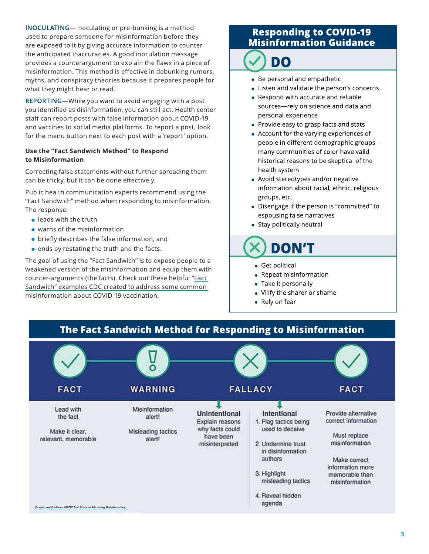**INOCULATING**—Inoculating or pre-bunking is a method used to prepare someone for misinformation before they are exposed to it by giving accurate information to counter the anticipated inaccuracies. A good inoculation message provides a counterargument to explain the flaws in a piece of misinformation. This method is effective in debunking rumors, myths, and conspiracy theories because it prepares people for what they might hear or read.

REPORTING-While you want to avoid engaging with a post you identified as disinformation, you can still act. Health center staff can report posts with false information about COVID-19 and vaccines to social media platforms. To report a post, look for the menu button next to each post with a 'report' option.

#### Use the "Fact Sandwich Method" to Respond to Misinformation

Correcting false statements without further spreading them can be tricky, but it can be done effectively.

Public health communication experts recommend using the "Fact Sandwich" method when responding to misinformation. The response:

- $\bullet$  leads with the truth
- warns of the misinformation
- briefly describes the false information, and
- . ends by restating the truth and the facts.

The goal of using the "Fact Sandwich" is to expose people to a weakened version of the misinformation and equip them with counter-arguments (the facts). Check out these helpful "Fact Sandwich" examples CDC created to address some common misinformation about COVID-19 vaccination.

# **Responding to COVID-19 Misinformation Guidance**

DO

- Be personal and empathetic
- Listen and validate the person's concerns
- Respond with accurate and reliable sources-rely on science and data and personal experience
- Provide easy to grasp facts and stats
- Account for the varying experiences of people in different demographic groupsmany communities of color have valid historical reasons to be skeptical of the health system
- Avoid stereotypes and/or negative information about racial, ethnic, religious groups, etc.
- Disengage if the person is "committed" to espousing false narratives
- Stay politically neutral

**DON'T** 

- Get political
- Repeat misinformation
- Take it personally
- Vilify the sharer or shame
- Rely on fear